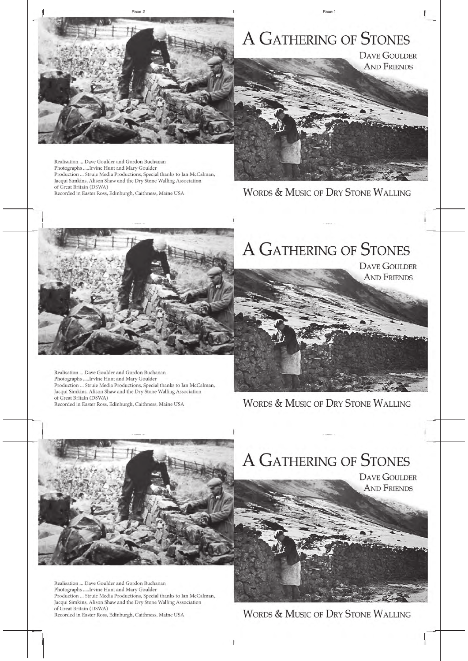# A GATHERING OF STONES

**DAVE GOULDER AND FRIENDS** 

**WORDS & MUSIC OF DRY STONE WALLING**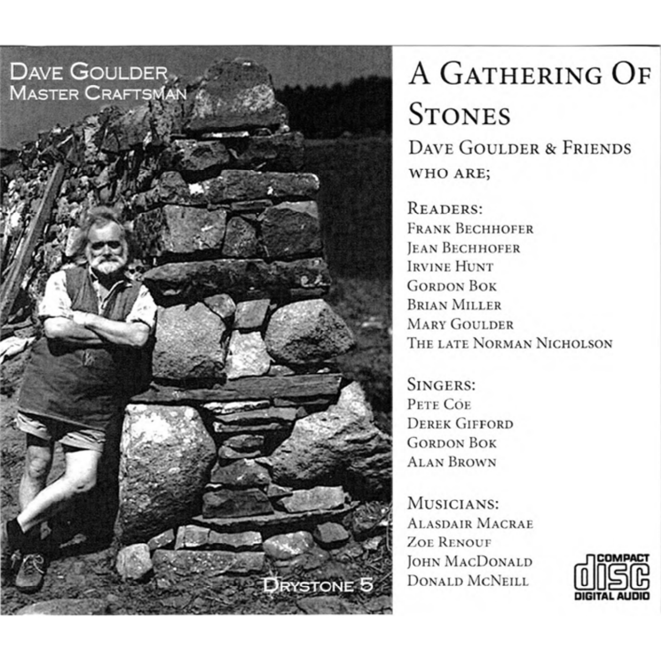## **DAVE GOULDER** MASTER CRAFTSMAN

A GATHERING OF **STONES DAVE GOULDER & FRIENDS WHO ARE:** 

READERS. **FRANK BECHHOFER JEAN BECHHOFER IRVINE HUNT GORDON BOK BRIAN MILLER MARY GOULDER** THE LATE NORMAN NICHOLSON

SINGERS: PETE COE **DEREK GIFFORD GORDON BOK ALAN BROWN** 

MUSICIANS: **ALASDAIR MACRAE ZOE RENOUE** JOHN MACDONALD **DONALD MCNEILL** 

**DRYSTONE 5** 

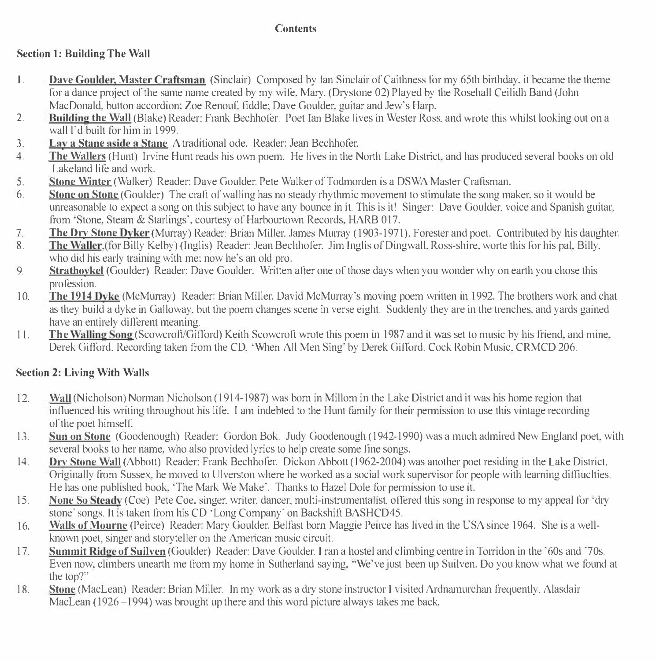#### Contents

#### Section I: Building The Wall

- I. **Dave Goulder: Master Craftsman** (Sinclair) Composed by Ian Sinclair of Caithness for my 65th birthday, it became the theme for a dance project of the same name created by my wife. Mary. (Drystone 02) Played by the Rosehall Ceilidh Band (John MacDonald. button accordion; Zoe Renouf. fiddle: Dave Goulder, guitar and Jew's Harp.
- 2. Building the Wall (Blake) Reader: Frank Bechhofer. Poet I an Blake lives in Wester Ross, and wrote this whilst looking out on a wall l"d built for him in 1999.
- 3. Lay a Stane aside a Stane A traditional ode. Reader: Jean Bechhofer.
- 4. The Wallers (Hunt) Irvine Hunt reads his own poem. He lives in the North Lake District, and has produced several books on old Lakeland life and work.
- 5. Stone Winter (Walker) Reader: Dave Goulder. Pete Walker of Todmorden is a DSWA Master Craftsman.<br>
Stone on Stone (Goulder). The craft of walling has no steady rhythmic movement to stimulate the song ms
- Stone on Stone (Goulder) The craft of walling has no steady rhythmic movement to stimulate the song maker, so it would be unreasonable to expect a song on this subject to have any bounce in it. This is it! Singer: Dave Goulder. voice and Spanish guitar. from 'Stone. Steam & Starlings', courtesy of Harbourtown Records. HARB 017.
- 7. The Dry Stone Dyker (Murray) Reader: Brian Miller, James Murray (1903-1971). Forester and poet. Contributed by his daughter.<br>Readers Waller (for Billy Kelby) (Inglis) Reader: Jean Bechhofer. Jim Inglis of Dingwall. Ross
- The Waller. (for Billy Kelby) (Inglis) Reader: Jean Bechhofer. Jim Inglis of Dingwall. Ross-shire, worte this for his pal. Billy. who did his early training with me: now he's an old pro.
- 9. Strathovkel (Goulder) Reader: Dave Goulder. Written after one of those days when you wonder why on earth you chose this profession.
- 10. The 1914 Dyke (McMu1Tay) Reader: Brian Miller. David McMurray"s moving poem written in 1992. The brothers work and chat as they build a dyke in Galloway. but the poem changes scene in verse eight. Suddenly they are in the trenches. and yards gained have an entirely different meaning.
- 11. The Walling Song (Scowcroft/Gifford) Keith Scowcroft wrote this poem in 1987 and it was set to music by his friend, and mine. Derek Gifford. Recording taken from the CD. 'When All Men Sing' by Derek Gifford. Cock Robin Music. CRMCD 206.

### Section 2: Living With Wulls

- 12. Wull (Nicholson) Norman Nicholson (1914-1987) was born in Millom in the Lake District and it was his home region that influenced his writing throughout his life. I am indebted to the Hunt family for their permission to use this vintage recording of the poet himseiC
- 13. Sun on Stone (Goodenough) Reader: Gordon Bok. Judy Goodenough (1942-1990) was a much admired New England poet, with several books to her name. who also provided lyrics to help create some fine songs.
- 14. Drv Stone Wall (Abbott) Reader: Frank Bechhofer. Dickon Abbott (1962-2004) was another poet residing in the Lake District. Originally from Sussex. he moved to Ulverston where he worked as a social work supervisor for people with learning dilliuclties. He has one published book. "The Mark We Make·. Thanks to Hazel Dole for permission to use it.
- 15. None So Steady (Coe) Pete Coe, singer, writer, dancer, multi-instrumentalist, offered this song in response to my appeal for "dry stone' songs. It is taken from his CD <sup>·</sup>Long Company' on Backshift BASHCD45.
- 16. \\'ails ofMourne (Peirce) Reader: Mary Goulder. Belfast born Maggie Peirce has lived in the USA since 1964. She is a wellknown poet. singer and storyteller on the American music circuit.
- 17. Summit Ridge of Suilven (Goulder) Reader: Dave Goulder. I ran a hostel and climbing centre in Torridon in the '60s and '70s. Even now, climbers unearth me from my home in Sutherland saying. "We've just been up Suilven. Do you know what we found at the top?"
- 18. Stone (Maclean) Reader: Brian Miller. In my work as a dry stone instructor I visited Ardnamurchan frequently. Alasdair MacLean  $(1926 - 1994)$  was brought up there and this word picture always takes me back.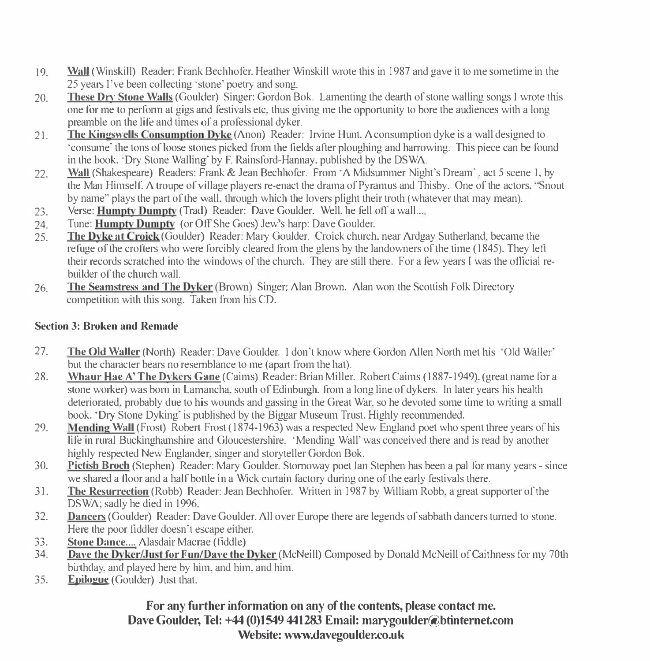- 19. Wall (Winskill) Reader: Frank Bechhofer. Heather Winskill wrote this in 1987 and gave it to me sometime in the 25 years I've been collecting ·stone' poetry and song.
- 20. These On' Stone W�tlls (Goulder) Singer: Gordon Bok. Lamenting the dearth of stone walling songs I wrote this one fOr me to perfonn at gigs and festivals etc. thus giving me the opportunity to bore the audiences with a long preamble on the life and times of a professional dyker.
- 21. The Kingswells Consumption Dyke ( $\triangle$ non) Reader: Irvine Hunt. A consumption dyke is a wall designed to 'consume' the tons of loose stones picked from the fields after ploughing and harrowing. This piece can be found in the book. ·Dry Stone Walling' by F. Rainsford-Hannay. published by the DSWA.
- 22. Wall (Shakespeare) Readers: Frank & Jean Bechhofer. From  $\Lambda$  Midsummer Night's Dream<sup>-</sup>. act 5 scene I, by the Man Himself. A troupe of village players re-enact the drama of Pyramus and Thisby. One of the actors,  $\degree$ Snout by name" plays the part of the wall, through which the lovers plight their troth (whatever that may mean).
- $23.$ Verse: Humpty Dumpty (Trad) Reader: Dave Goulder. Well. he fell off a wall...
- 24. Tune: Humpty Dumpty (or Off She Goes) Jew's harp: Dave Goulder.
- 25. The Dyke at Crojck (Goulder) Reader: Mary Goulder. Croick church. near Ardgay Sutherland. became the refuge of the crofters who were forcibly cleared ffom the glens by the landowners of the time (1845). They lefi their records scratched into the windows of the church. They are still there. For a few years I was the official rebuilder of the church wall.
- 26. The Seamstress and The Dyker (Brown) Singert Alan Brown. Alan won the Scottish Folk Directory competition with this song. Taken from his CD.

#### Section 3: Broken and Remade

- 27. The Old Waller (North) Reader: Dave Goulder. I don't know where Gordon Allen North met his *'Old Waller'* but the character bears no resemblance to me (apart from the hat).
- 28. Whaur Hae A' The Dykers Gane (Caims) Reader: Brian Miller. Robert Caims (1887-1949). (great name for a stone worker) was born in Lamancha. south of Edinburgh. from a long line of dykers. In later years his health deteriorated. probably due to his wounds and gassing in the Great War. so he devoted some time to writing a small book. ·Dry Stone Dyking· is published by the Biggar Museum Trust. Highly recommended.
- 29. Mending Wall (Frost) Robert Frost (1874-1963) was a respected New England poet who spent three years of his life in rural Buckinghamshire and Gloucestershire. 'Mending Wall" was conceived there and is read by another highly respected New Englander. singer and storyteller Gordon Bok.
- 30. Pictish Broch (Stephen) Reader: Mary Goulder. Stomoway poet Ian Stephen has been a pal for many years since we shared a floor and a half bottle in a Wick curtain factory during one of the early festivals there.
- 31. The Resurrection (Robb) Reader: Jean Bechhofer. Written in 1987 by William Robb. a great supporter of the DSWA; sadly he died in 1996.
- 32. Dancers (Goulder) Reader: Dave Goulder. All over Europe there are legends of sabbath dancers turned to stone. Here the poor fiddler doesn't escape either.
- 33. Stone Dance..... Alasdair Macrae (fiddle)<br>34. Dave the Dyker/Just for Eun/Dave the l
- Dave the Dyker/.Just for Fun/Dave the Dyker (McNeill) Composed by Donald McNeill of Caithness for my 70th birthday. and played here by him. and him. and him.
- 35. Epilogue (Goulder) Just that.

For any further information on any of the contents, please contact me. Dave Goulder, Tel: +44 (0)1549 441283 Email: marygoulder@btinternet.com Website: www.davegoulder.co.uk